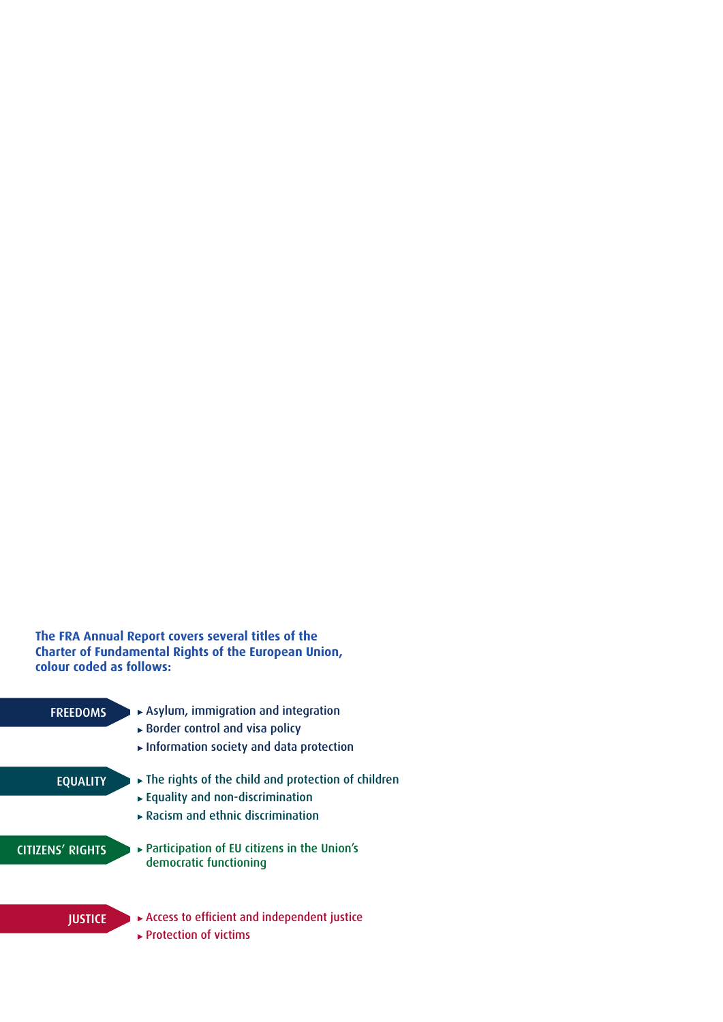## **The FRA Annual Report covers several titles of the Charter of Fundamental Rights of the European Union, colour coded as follows:**

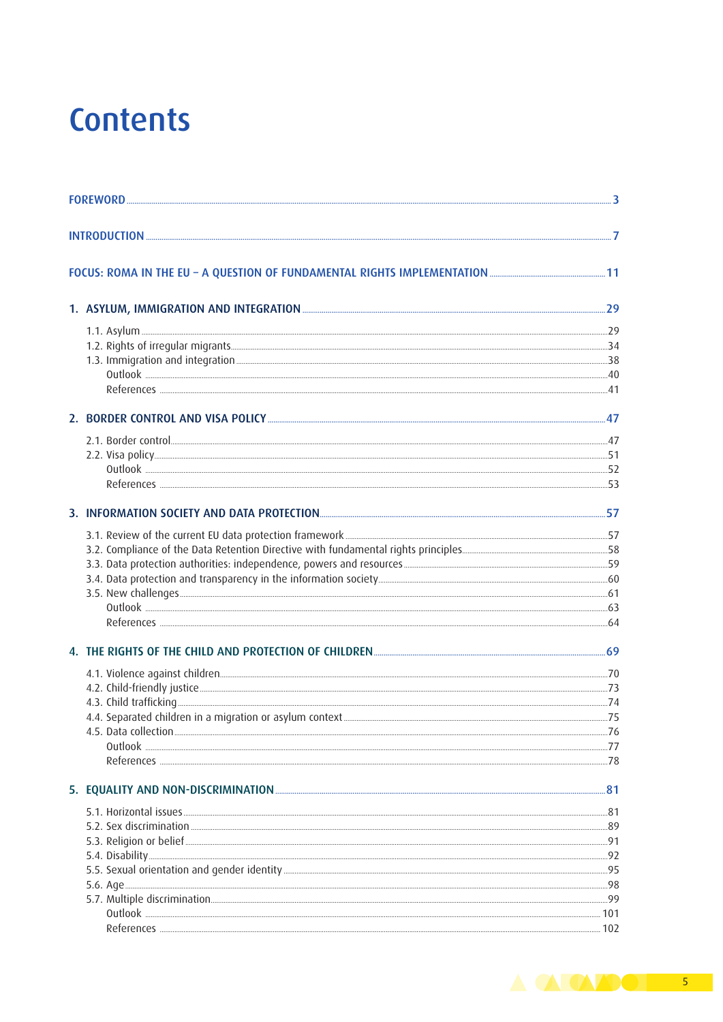## **Contents**

|  | References <b><i>CONSTRUCTER</i></b> 253                                                                                                                                                                                             |  |
|--|--------------------------------------------------------------------------------------------------------------------------------------------------------------------------------------------------------------------------------------|--|
|  |                                                                                                                                                                                                                                      |  |
|  |                                                                                                                                                                                                                                      |  |
|  |                                                                                                                                                                                                                                      |  |
|  |                                                                                                                                                                                                                                      |  |
|  |                                                                                                                                                                                                                                      |  |
|  |                                                                                                                                                                                                                                      |  |
|  |                                                                                                                                                                                                                                      |  |
|  |                                                                                                                                                                                                                                      |  |
|  | 4. THE RIGHTS OF THE CHILD AND PROTECTION OF CHILDREN <b>CHILLER CHILDREN</b> 269                                                                                                                                                    |  |
|  |                                                                                                                                                                                                                                      |  |
|  |                                                                                                                                                                                                                                      |  |
|  |                                                                                                                                                                                                                                      |  |
|  |                                                                                                                                                                                                                                      |  |
|  |                                                                                                                                                                                                                                      |  |
|  |                                                                                                                                                                                                                                      |  |
|  |                                                                                                                                                                                                                                      |  |
|  |                                                                                                                                                                                                                                      |  |
|  | 5.1. Horizontal issues <b>Exercise 20 and 20 and 20 and 20 and 20 and 20 and 20 and 20 and 20 and 20 and 20 and 20 and 20 and 20 and 20 and 20 and 20 and 20 and 20 and 20 and 20 and 20 and 20 and 20 and 20 and 20 and 20 and </b> |  |
|  |                                                                                                                                                                                                                                      |  |
|  |                                                                                                                                                                                                                                      |  |
|  |                                                                                                                                                                                                                                      |  |
|  |                                                                                                                                                                                                                                      |  |
|  |                                                                                                                                                                                                                                      |  |
|  |                                                                                                                                                                                                                                      |  |
|  |                                                                                                                                                                                                                                      |  |